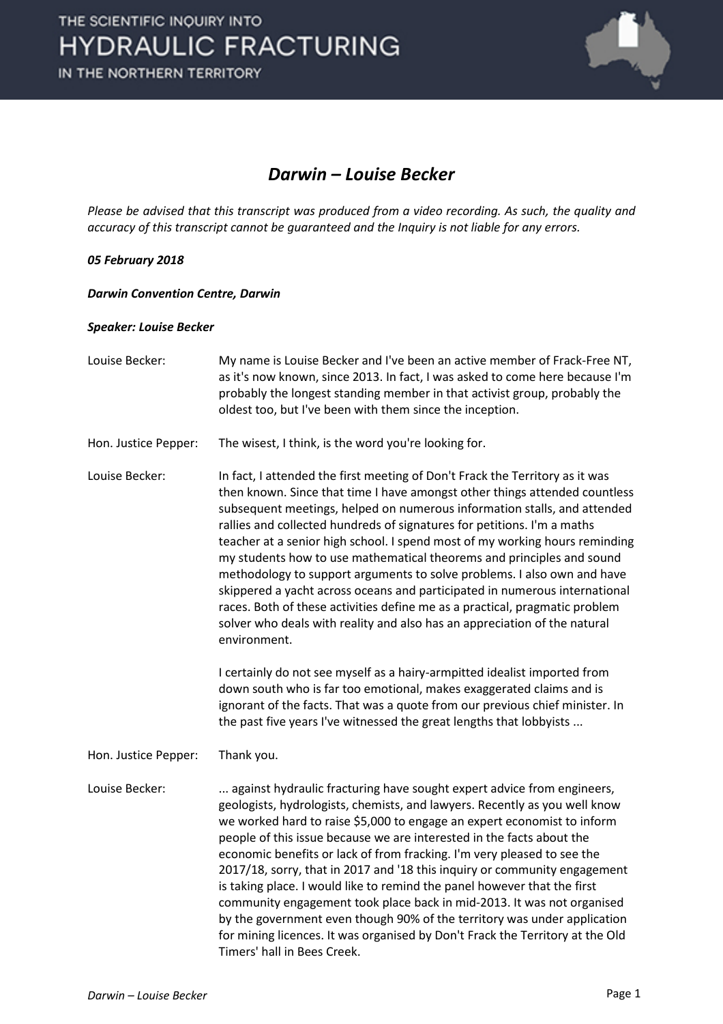

## *Darwin – Louise Becker*

*Please be advised that this transcript was produced from a video recording. As such, the quality and accuracy of this transcript cannot be guaranteed and the Inquiry is not liable for any errors.*

## *05 February 2018*

*Darwin Convention Centre, Darwin* 

## *Speaker: Louise Becker*

| Louise Becker:       | My name is Louise Becker and I've been an active member of Frack-Free NT,<br>as it's now known, since 2013. In fact, I was asked to come here because I'm<br>probably the longest standing member in that activist group, probably the<br>oldest too, but I've been with them since the inception.                                                                                                                                                                                                                                                                                                                                                                                                                                                                                                                                                                                                                                                                                                                                                                                                                         |
|----------------------|----------------------------------------------------------------------------------------------------------------------------------------------------------------------------------------------------------------------------------------------------------------------------------------------------------------------------------------------------------------------------------------------------------------------------------------------------------------------------------------------------------------------------------------------------------------------------------------------------------------------------------------------------------------------------------------------------------------------------------------------------------------------------------------------------------------------------------------------------------------------------------------------------------------------------------------------------------------------------------------------------------------------------------------------------------------------------------------------------------------------------|
| Hon. Justice Pepper: | The wisest, I think, is the word you're looking for.                                                                                                                                                                                                                                                                                                                                                                                                                                                                                                                                                                                                                                                                                                                                                                                                                                                                                                                                                                                                                                                                       |
| Louise Becker:       | In fact, I attended the first meeting of Don't Frack the Territory as it was<br>then known. Since that time I have amongst other things attended countless<br>subsequent meetings, helped on numerous information stalls, and attended<br>rallies and collected hundreds of signatures for petitions. I'm a maths<br>teacher at a senior high school. I spend most of my working hours reminding<br>my students how to use mathematical theorems and principles and sound<br>methodology to support arguments to solve problems. I also own and have<br>skippered a yacht across oceans and participated in numerous international<br>races. Both of these activities define me as a practical, pragmatic problem<br>solver who deals with reality and also has an appreciation of the natural<br>environment.<br>I certainly do not see myself as a hairy-armpitted idealist imported from<br>down south who is far too emotional, makes exaggerated claims and is<br>ignorant of the facts. That was a quote from our previous chief minister. In<br>the past five years I've witnessed the great lengths that lobbyists |
| Hon. Justice Pepper: | Thank you.                                                                                                                                                                                                                                                                                                                                                                                                                                                                                                                                                                                                                                                                                                                                                                                                                                                                                                                                                                                                                                                                                                                 |
| Louise Becker:       | against hydraulic fracturing have sought expert advice from engineers,<br>geologists, hydrologists, chemists, and lawyers. Recently as you well know<br>we worked hard to raise \$5,000 to engage an expert economist to inform<br>people of this issue because we are interested in the facts about the<br>economic benefits or lack of from fracking. I'm very pleased to see the<br>2017/18, sorry, that in 2017 and '18 this inquiry or community engagement<br>is taking place. I would like to remind the panel however that the first<br>community engagement took place back in mid-2013. It was not organised<br>by the government even though 90% of the territory was under application<br>for mining licences. It was organised by Don't Frack the Territory at the Old<br>Timers' hall in Bees Creek.                                                                                                                                                                                                                                                                                                         |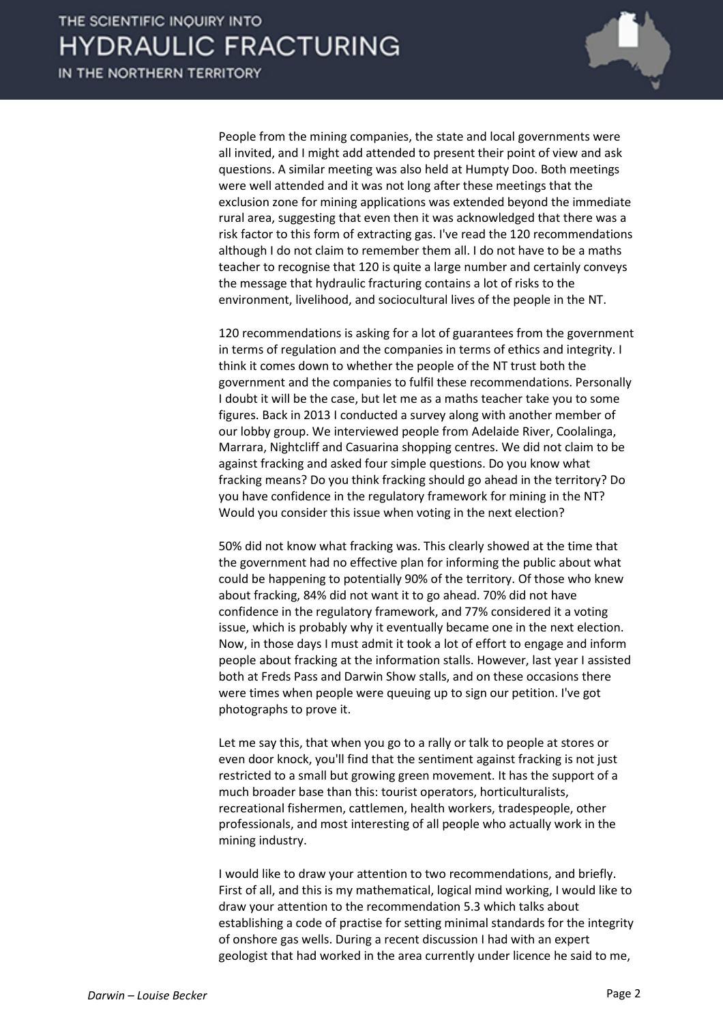IN THE NORTHERN TERRITORY



People from the mining companies, the state and local governments were all invited, and I might add attended to present their point of view and ask questions. A similar meeting was also held at Humpty Doo. Both meetings were well attended and it was not long after these meetings that the exclusion zone for mining applications was extended beyond the immediate rural area, suggesting that even then it was acknowledged that there was a risk factor to this form of extracting gas. I've read the 120 recommendations although I do not claim to remember them all. I do not have to be a maths teacher to recognise that 120 is quite a large number and certainly conveys the message that hydraulic fracturing contains a lot of risks to the environment, livelihood, and sociocultural lives of the people in the NT.

120 recommendations is asking for a lot of guarantees from the government in terms of regulation and the companies in terms of ethics and integrity. I think it comes down to whether the people of the NT trust both the government and the companies to fulfil these recommendations. Personally I doubt it will be the case, but let me as a maths teacher take you to some figures. Back in 2013 I conducted a survey along with another member of our lobby group. We interviewed people from Adelaide River, Coolalinga, Marrara, Nightcliff and Casuarina shopping centres. We did not claim to be against fracking and asked four simple questions. Do you know what fracking means? Do you think fracking should go ahead in the territory? Do you have confidence in the regulatory framework for mining in the NT? Would you consider this issue when voting in the next election?

50% did not know what fracking was. This clearly showed at the time that the government had no effective plan for informing the public about what could be happening to potentially 90% of the territory. Of those who knew about fracking, 84% did not want it to go ahead. 70% did not have confidence in the regulatory framework, and 77% considered it a voting issue, which is probably why it eventually became one in the next election. Now, in those days I must admit it took a lot of effort to engage and inform people about fracking at the information stalls. However, last year I assisted both at Freds Pass and Darwin Show stalls, and on these occasions there were times when people were queuing up to sign our petition. I've got photographs to prove it.

Let me say this, that when you go to a rally or talk to people at stores or even door knock, you'll find that the sentiment against fracking is not just restricted to a small but growing green movement. It has the support of a much broader base than this: tourist operators, horticulturalists, recreational fishermen, cattlemen, health workers, tradespeople, other professionals, and most interesting of all people who actually work in the mining industry.

I would like to draw your attention to two recommendations, and briefly. First of all, and this is my mathematical, logical mind working, I would like to draw your attention to the recommendation 5.3 which talks about establishing a code of practise for setting minimal standards for the integrity of onshore gas wells. During a recent discussion I had with an expert geologist that had worked in the area currently under licence he said to me,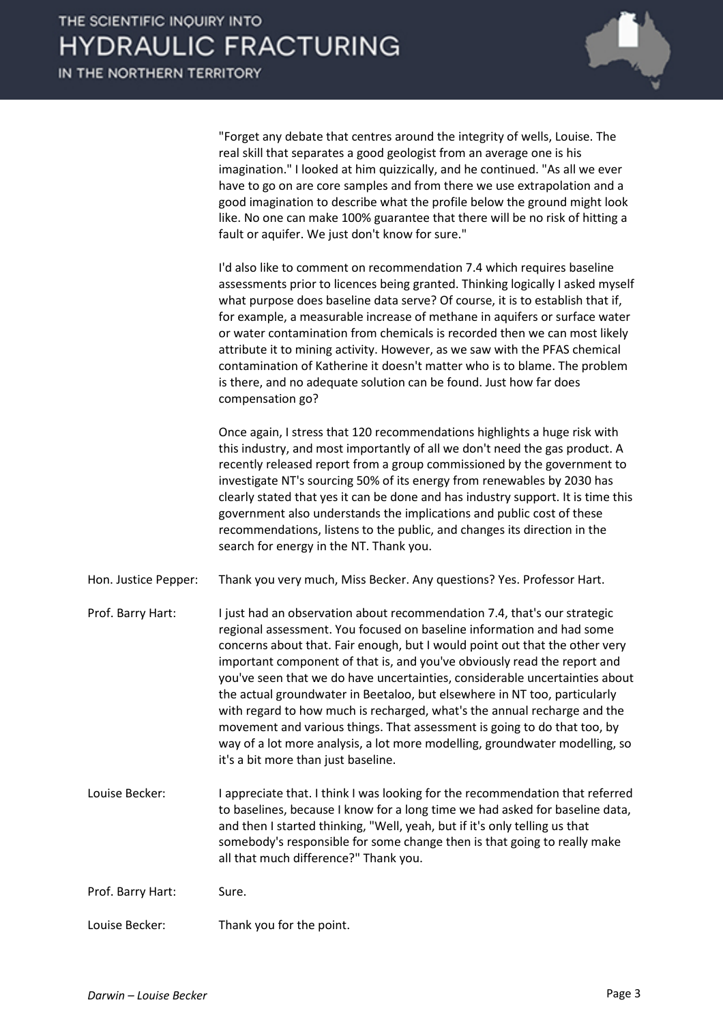

"Forget any debate that centres around the integrity of wells, Louise. The real skill that separates a good geologist from an average one is his imagination." I looked at him quizzically, and he continued. "As all we ever have to go on are core samples and from there we use extrapolation and a good imagination to describe what the profile below the ground might look like. No one can make 100% guarantee that there will be no risk of hitting a fault or aquifer. We just don't know for sure."

I'd also like to comment on recommendation 7.4 which requires baseline assessments prior to licences being granted. Thinking logically I asked myself what purpose does baseline data serve? Of course, it is to establish that if, for example, a measurable increase of methane in aquifers or surface water or water contamination from chemicals is recorded then we can most likely attribute it to mining activity. However, as we saw with the PFAS chemical contamination of Katherine it doesn't matter who is to blame. The problem is there, and no adequate solution can be found. Just how far does compensation go?

Once again, I stress that 120 recommendations highlights a huge risk with this industry, and most importantly of all we don't need the gas product. A recently released report from a group commissioned by the government to investigate NT's sourcing 50% of its energy from renewables by 2030 has clearly stated that yes it can be done and has industry support. It is time this government also understands the implications and public cost of these recommendations, listens to the public, and changes its direction in the search for energy in the NT. Thank you.

- Hon. Justice Pepper: Thank you very much, Miss Becker. Any questions? Yes. Professor Hart.
- Prof. Barry Hart: I just had an observation about recommendation 7.4, that's our strategic regional assessment. You focused on baseline information and had some concerns about that. Fair enough, but I would point out that the other very important component of that is, and you've obviously read the report and you've seen that we do have uncertainties, considerable uncertainties about the actual groundwater in Beetaloo, but elsewhere in NT too, particularly with regard to how much is recharged, what's the annual recharge and the movement and various things. That assessment is going to do that too, by way of a lot more analysis, a lot more modelling, groundwater modelling, so it's a bit more than just baseline.
- Louise Becker: I appreciate that. I think I was looking for the recommendation that referred to baselines, because I know for a long time we had asked for baseline data, and then I started thinking, "Well, yeah, but if it's only telling us that somebody's responsible for some change then is that going to really make all that much difference?" Thank you.
- Prof. Barry Hart: Sure.
- Louise Becker: Thank you for the point.